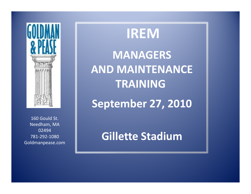

160 Gould St.Needham, MA 02494 781-292-1080Goldmanpease.com

**IREM MANAGERS AND MAINTENANCETRAINING**

**September 27, 2010**

**Gillette Stadium**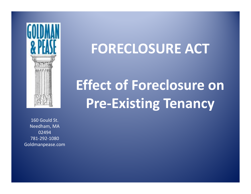

### **FORECLOSURE ACT**

## **Effect of Foreclosure on Pre-Existing Tenancy**

160 Gould St.Needham, MA 02494 781-292-1080Goldmanpease.com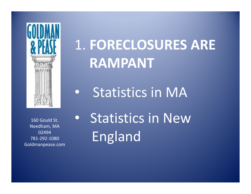

## 1. **FORECLOSURES ARERAMPANT**

 $\bullet$ Statistics in MA

160 Gould St.Needham, MA 02494 781-292-1080Goldmanpease.com • Statistics in NewEngland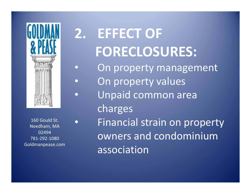

 $\bullet$ 

 $\bullet$ 

 $\bullet$ 

•

160 Gould St.Needham, MA 02494 781-292-1080Goldmanpease.com

# **2. EFFECT OF FORECLOSURES:**

- On property management
- On property values
- Unpaid common area charges
- Financial strain on property owners and condominium association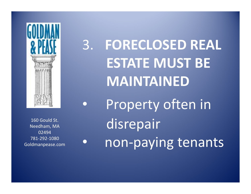

160 Gould St.Needham, MA 02494 781-292-1080Goldmanpease.com

 $\bullet$ 

3. **FORECLOSED REALESTATE MUST BEMAINTAINED** $\bullet$ 

 Property often indisrepairnon-paying tenants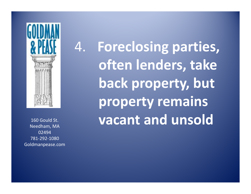

Needham, MA 160 Gould St.02494 781-292-1080Goldmanpease.com 4. **Foreclosing parties,often lenders, take back property, butproperty remainsvacant and unsold**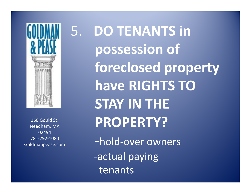

160 Gould St.Needham, MA 02494 781-292-1080Goldmanpease.com 5. **DO TENANTS in possession offoreclosed propertyhave RIGHTS TO STAY IN THE PROPERTY?**-hold-over owners-actual payingtenants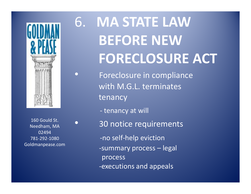

•

 $\bullet$ 

160 Gould St.Needham, MA 02494 781-292-1080Goldmanpease.com

## 6. **MA STATE LAWBEFORE NEWFORECLOSURE ACT**

- Foreclosure in compliancewith M.G.L. terminatestenancy
	- tenancy at will
	- 30 notice requirements -no self-help eviction -summary process – legal process -executions and appeals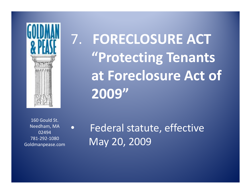

7. **FORECLOSURE ACT "Protecting Tenantsat Foreclosure Act of2009"**

160 Gould St.Needham, MA 02494 781-292-1080Goldmanpease.com

•

 Federal statute, effectiveMay 20, 2009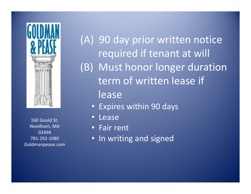

160 Gould St.Needham, MA 02494 781-292-1080Goldmanpease.com

(A) 90 day prior written noticerequired if tenant at will(B) Must honor longer durationterm of written lease iflease

- Expires within 90 days
- •Lease
- Fair rent •
- In writing and signed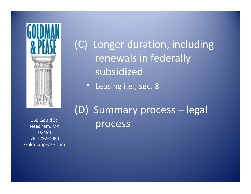

(C) Longer duration, includingrenewals in federallysubsidized

 $\bullet$ Leasing i.e., sec. 8

02494 781-292-1080Goldmanpease.com

(D) Summary process – legal 160 Gould St.<br>Needham, MA<br>Needham, MA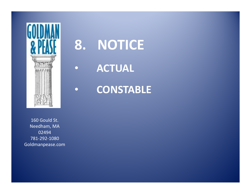

### **8. NOTICE**

•**ACTUAL**

•

**CONSTABLE**

160 Gould St. Needham, MA 02494 781-292-1080Goldmanpease.com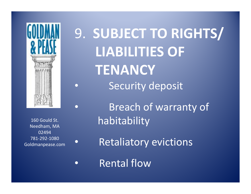

 $\bullet$ 

•

 $\bullet$ 

 $\bullet$ 

9. **SUBJECT TO RIGHTS/LIABILITIES OFTENANCY•** Security deposit

160 Gould St.Needham, MA 02494 781-292-1080Goldmanpease.com

 Breach of warranty of habitability

Retaliatory evictions

Rental flow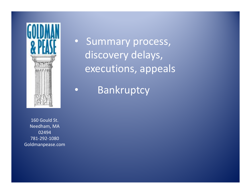

•

• Summary process, discovery delays, executions, appeals

Bankruptcy

160 Gould St.Needham, MA 02494 781-292-1080Goldmanpease.com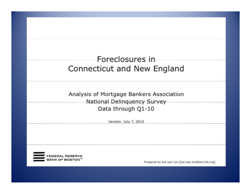### Foreclosures in Connecticut and New England

Analysis of Mortgage Bankers Association National Delinquency Survey Data through Q1-10

Version: July 7, 2010



Prepared by Kai-yan Lee [kai-yan.lee@bos.frb.org]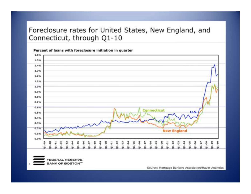#### Foreclosure rates for United States, New England, and Connecticut, through Q1-10

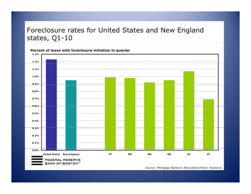#### Foreclosure rates for United States and New England states, Q1-10



Source: Mortgage Bankers Association/Haver Analytics